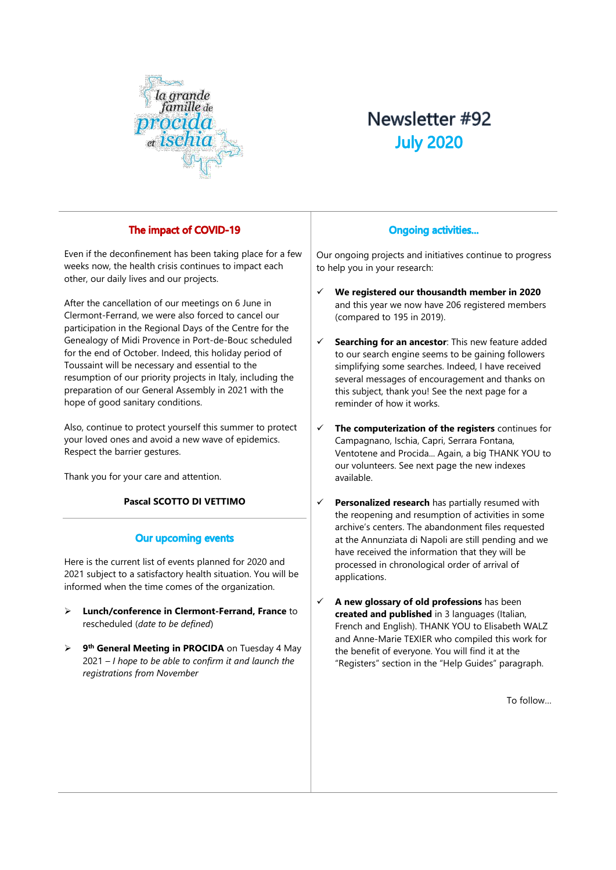

# Newsletter #92 **July 2020**

# The impact of COVID-19

Even if the deconfinement has been taking place for a few weeks now, the health crisis continues to impact each other, our daily lives and our projects.

After the cancellation of our meetings on 6 June in Clermont-Ferrand, we were also forced to cancel our participation in the Regional Days of the Centre for the Genealogy of Midi Provence in Port-de-Bouc scheduled for the end of October. Indeed, this holiday period of Toussaint will be necessary and essential to the resumption of our priority projects in Italy, including the preparation of our General Assembly in 2021 with the hope of good sanitary conditions.

Also, continue to protect yourself this summer to protect your loved ones and avoid a new wave of epidemics. Respect the barrier gestures.

Thank you for your care and attention.

## **Pascal SCOTTO DI VETTIMO**

## **Our upcoming events**

Here is the current list of events planned for 2020 and 2021 subject to a satisfactory health situation. You will be informed when the time comes of the organization.

- ➢ **Lunch/conference in Clermont-Ferrand, France** to rescheduled (*date to be defined*)
- ➢ **9 th General Meeting in PROCIDA** on Tuesday 4 May 2021 *– I hope to be able to confirm it and launch the registrations from November*

# **Ongoing activities...**

Our ongoing projects and initiatives continue to progress to help you in your research:

- ✓ **We registered our thousandth member in 2020** and this year we now have 206 registered members (compared to 195 in 2019).
- Searching for an ancestor: This new feature added to our search engine seems to be gaining followers simplifying some searches. Indeed, I have received several messages of encouragement and thanks on this subject, thank you! See the next page for a reminder of how it works.
- ✓ **The computerization of the registers** continues for Campagnano, Ischia, Capri, Serrara Fontana, Ventotene and Procida... Again, a big THANK YOU to our volunteers. See next page the new indexes available.
- **Personalized research** has partially resumed with the reopening and resumption of activities in some archive's centers. The abandonment files requested at the Annunziata di Napoli are still pending and we have received the information that they will be processed in chronological order of arrival of applications.
- ✓ **A new glossary of old professions** has been **created and published** in 3 languages (Italian, French and English). THANK YOU to Elisabeth WALZ and Anne-Marie TEXIER who compiled this work for the benefit of everyone. You will find it at the "Registers" section in the "Help Guides" paragraph.

To follow…